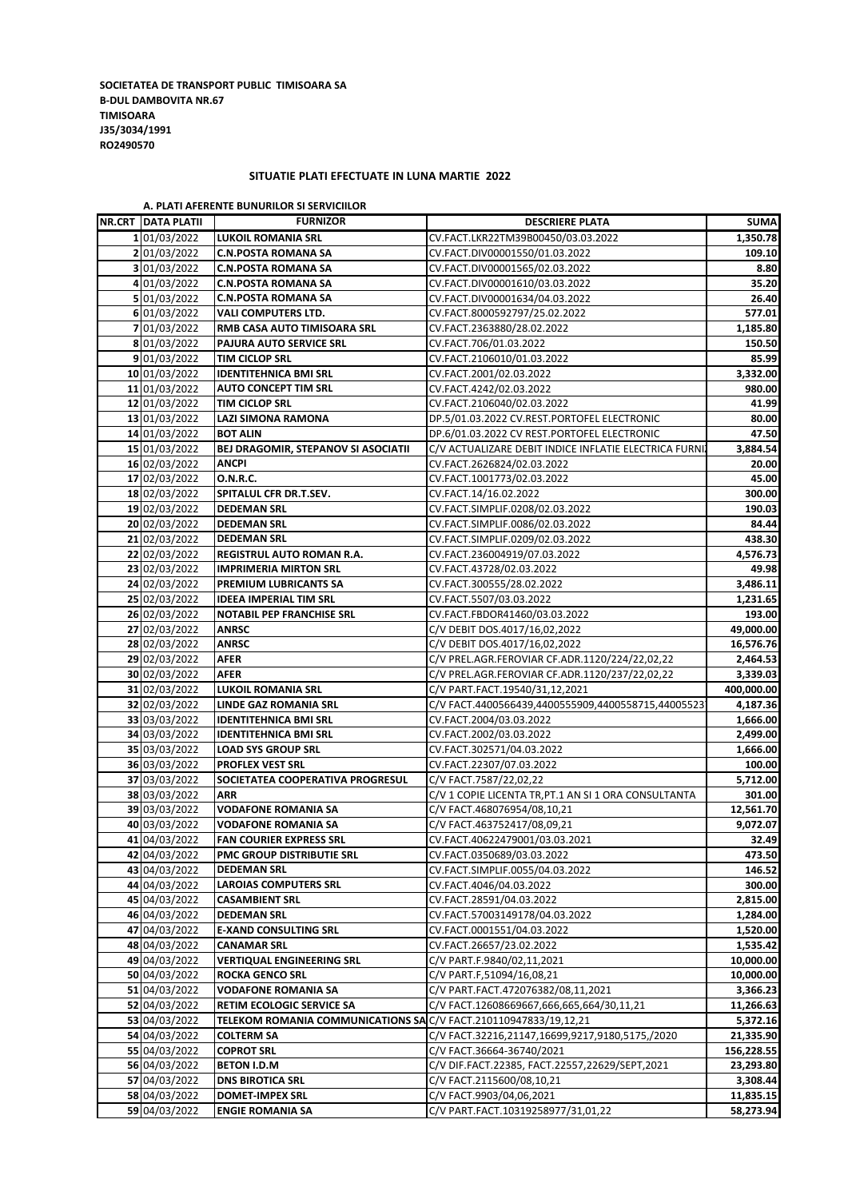**SOCIETATEA DE TRANSPORT PUBLIC TIMISOARA SA B-DUL DAMBOVITA NR.67 TIMISOARA J35/3034/1991 RO2490570**

## **SITUATIE PLATI EFECTUATE IN LUNA MARTIE 2022**

| <b>NR.CRT DATA PLATII</b> | <b>FURNIZOR</b>                                                      | <b>DESCRIERE PLATA</b>                                 | <b>SUMA</b>       |
|---------------------------|----------------------------------------------------------------------|--------------------------------------------------------|-------------------|
| 1 01/03/2022              | CV.FACT.LKR22TM39B00450/03.03.2022<br><b>LUKOIL ROMANIA SRL</b>      |                                                        | 1,350.78          |
| 2 01/03/2022              | <b>C.N.POSTA ROMANA SA</b>                                           | CV.FACT.DIV00001550/01.03.2022                         | 109.10            |
| 3 01/03/2022              | <b>C.N.POSTA ROMANA SA</b>                                           | CV.FACT.DIV00001565/02.03.2022                         | 8.80              |
| 4 01/03/2022              | <b>C.N.POSTA ROMANA SA</b>                                           | CV.FACT.DIV00001610/03.03.2022                         | 35.20             |
| 5 01/03/2022              | <b>C.N.POSTA ROMANA SA</b>                                           | CV.FACT.DIV00001634/04.03.2022                         | 26.40             |
| 6 01/03/2022              | VALI COMPUTERS LTD.                                                  | CV.FACT.8000592797/25.02.2022                          | 577.01            |
| 7 01/03/2022              | RMB CASA AUTO TIMISOARA SRL                                          | CV.FACT.2363880/28.02.2022                             | 1,185.80          |
| 8 01/03/2022              | PAJURA AUTO SERVICE SRL                                              | CV.FACT.706/01.03.2022                                 | 150.50            |
| 9 01/03/2022              | <b>TIM CICLOP SRL</b>                                                | CV.FACT.2106010/01.03.2022                             | 85.99             |
| 10 01/03/2022             | <b>IDENTITEHNICA BMI SRL</b>                                         | CV.FACT.2001/02.03.2022                                | 3,332.00          |
| 11 01/03/2022             | <b>AUTO CONCEPT TIM SRL</b>                                          | CV.FACT.4242/02.03.2022                                | 980.00            |
| 12 01/03/2022             | TIM CICLOP SRL                                                       | CV.FACT.2106040/02.03.2022                             | 41.99             |
| 13 01/03/2022             | <b>LAZI SIMONA RAMONA</b>                                            | DP.5/01.03.2022 CV.REST.PORTOFEL ELECTRONIC            | 80.00             |
|                           |                                                                      |                                                        | 47.50             |
| 14 01/03/2022             | <b>BOT ALIN</b>                                                      | DP.6/01.03.2022 CV REST.PORTOFEL ELECTRONIC            |                   |
| 15 01/03/2022             | <b>BEJ DRAGOMIR, STEPANOV SI ASOCIATII</b>                           | C/V ACTUALIZARE DEBIT INDICE INFLATIE ELECTRICA FURNIZ | 3,884.54          |
| 16 02/03/2022             | ANCPI                                                                | CV.FACT.2626824/02.03.2022                             | 20.00             |
| 17 02/03/2022             | <b>O.N.R.C.</b>                                                      | CV.FACT.1001773/02.03.2022                             | 45.00             |
| 18 02/03/2022             | SPITALUL CFR DR.T.SEV.                                               | CV.FACT.14/16.02.2022                                  | 300.00            |
| 19 02/03/2022             | <b>DEDEMAN SRL</b>                                                   | CV.FACT.SIMPLIF.0208/02.03.2022                        | 190.03            |
| 20 02/03/2022             | <b>DEDEMAN SRL</b>                                                   | CV.FACT.SIMPLIF.0086/02.03.2022                        | 84.44             |
| 21 02/03/2022             | <b>DEDEMAN SRL</b>                                                   | CV.FACT.SIMPLIF.0209/02.03.2022                        | 438.30            |
| 22 02/03/2022             | REGISTRUL AUTO ROMAN R.A.                                            | CV.FACT.236004919/07.03.2022                           | 4,576.73          |
| 23 02/03/2022             | <b>IMPRIMERIA MIRTON SRL</b>                                         | CV.FACT.43728/02.03.2022                               | 49.98             |
| 24 02/03/2022             | PREMIUM LUBRICANTS SA                                                | CV.FACT.300555/28.02.2022                              | 3,486.11          |
| 25 02/03/2022             | <b>IDEEA IMPERIAL TIM SRL</b>                                        | CV.FACT.5507/03.03.2022                                | 1,231.65          |
| 26 02/03/2022             | <b>NOTABIL PEP FRANCHISE SRL</b>                                     | CV.FACT.FBDOR41460/03.03.2022                          | 193.00            |
| 27 02/03/2022             | <b>ANRSC</b>                                                         | C/V DEBIT DOS.4017/16,02,2022                          | 49,000.00         |
| 28 02/03/2022             | <b>ANRSC</b>                                                         | C/V DEBIT DOS.4017/16,02,2022                          | 16,576.76         |
| 29 02/03/2022             | AFER                                                                 | C/V PREL.AGR.FEROVIAR CF.ADR.1120/224/22,02,22         | 2,464.53          |
| 30 02/03/2022             | <b>AFER</b>                                                          | C/V PREL.AGR.FEROVIAR CF.ADR.1120/237/22,02,22         | 3,339.03          |
| 31 02/03/2022             | <b>LUKOIL ROMANIA SRL</b>                                            | C/V PART.FACT.19540/31,12,2021                         | 400,000.00        |
| 32 02/03/2022             | LINDE GAZ ROMANIA SRL                                                | C/V FACT.4400566439,4400555909,4400558715,44005523     | 4,187.36          |
| 33 03/03/2022             | <b>IDENTITEHNICA BMI SRL</b>                                         | CV.FACT.2004/03.03.2022                                | 1,666.00          |
| 34 03/03/2022             | <b>IDENTITEHNICA BMI SRL</b>                                         | CV.FACT.2002/03.03.2022                                | 2,499.00          |
| 35 03/03/2022             | <b>LOAD SYS GROUP SRL</b>                                            | CV.FACT.302571/04.03.2022                              | 1,666.00          |
| 36 03/03/2022             | <b>PROFLEX VEST SRL</b>                                              | CV.FACT.22307/07.03.2022                               | 100.00            |
| 37 03/03/2022             | SOCIETATEA COOPERATIVA PROGRESUL                                     | C/V FACT.7587/22,02,22                                 | 5,712.00          |
| 38 03/03/2022             | C/V 1 COPIE LICENTA TR, PT.1 AN SI 1 ORA CONSULTANTA<br>ARR          |                                                        | 301.00            |
| 39 03/03/2022             | <b>VODAFONE ROMANIA SA</b>                                           | C/V FACT.468076954/08,10,21                            |                   |
| 40 03/03/2022             | <b>VODAFONE ROMANIA SA</b>                                           | C/V FACT.463752417/08,09,21                            |                   |
| 41 04/03/2022             | <b>FAN COURIER EXPRESS SRL</b>                                       | CV.FACT.40622479001/03.03.2021                         | 9,072.07<br>32.49 |
| 42 04/03/2022             | PMC GROUP DISTRIBUTIE SRL                                            | CV.FACT.0350689/03.03.2022                             | 473.50            |
| 43 04/03/2022             | <b>DEDEMAN SRL</b>                                                   | CV.FACT.SIMPLIF.0055/04.03.2022                        | 146.52            |
| 44 04/03/2022             | <b>LAROIAS COMPUTERS SRL</b>                                         | CV.FACT.4046/04.03.2022                                | 300.00            |
| 45 04/03/2022             | <b>CASAMBIENT SRL</b>                                                | CV.FACT.28591/04.03.2022                               | 2,815.00          |
| 46 04/03/2022             | <b>DEDEMAN SRL</b>                                                   | CV.FACT.57003149178/04.03.2022                         | 1,284.00          |
| 47 04/03/2022             | <b>E-XAND CONSULTING SRL</b>                                         | CV.FACT.0001551/04.03.2022                             | 1,520.00          |
| 48 04/03/2022             | <b>CANAMAR SRL</b>                                                   | CV.FACT.26657/23.02.2022                               | 1,535.42          |
| 49 04/03/2022             | <b>VERTIQUAL ENGINEERING SRL</b>                                     | C/V PART.F.9840/02,11,2021                             | 10,000.00         |
| 50 04/03/2022             | <b>ROCKA GENCO SRL</b>                                               | C/V PART.F,51094/16,08,21                              |                   |
|                           |                                                                      |                                                        | 10,000.00         |
| 51 04/03/2022             | <b>VODAFONE ROMANIA SA</b>                                           | C/V PART.FACT.472076382/08,11,2021                     | 3,366.23          |
| 52 04/03/2022             | RETIM ECOLOGIC SERVICE SA                                            | C/V FACT.12608669667,666,665,664/30,11,21              | 11,266.63         |
| 53 04/03/2022             | TELEKOM ROMANIA COMMUNICATIONS SA C/V FACT.210110947833/19,12,21     |                                                        | 5,372.16          |
| 54 04/03/2022             | C/V FACT.32216,21147,16699,9217,9180,5175,/2020<br><b>COLTERM SA</b> |                                                        | 21,335.90         |
| 55 04/03/2022             | <b>COPROT SRL</b><br>C/V FACT.36664-36740/2021                       |                                                        | 156,228.55        |
| 56 04/03/2022             | <b>BETON I.D.M</b>                                                   | C/V DIF.FACT.22385, FACT.22557,22629/SEPT,2021         | 23,293.80         |
| 57 04/03/2022             | <b>DNS BIROTICA SRL</b>                                              | C/V FACT.2115600/08,10,21                              | 3,308.44          |
| 58 04/03/2022             | <b>DOMET-IMPEX SRL</b>                                               | C/V FACT.9903/04,06,2021                               | 11,835.15         |
| 59 04/03/2022             | <b>ENGIE ROMANIA SA</b>                                              | C/V PART.FACT.10319258977/31,01,22                     | 58,273.94         |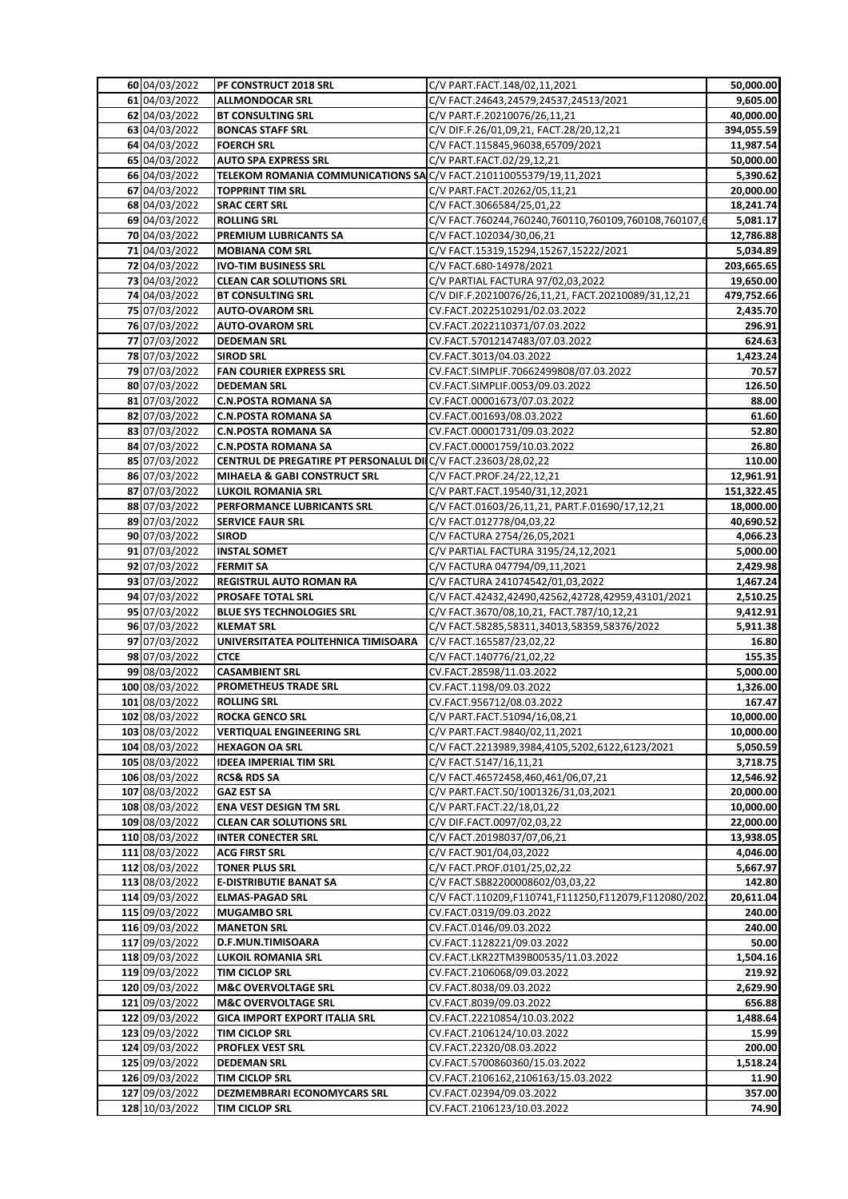| 60 04/03/2022                  | PF CONSTRUCT 2018 SRL                                             | C/V PART.FACT.148/02,11,2021                                            | 50,000.00       |
|--------------------------------|-------------------------------------------------------------------|-------------------------------------------------------------------------|-----------------|
| 61 04/03/2022                  | <b>ALLMONDOCAR SRL</b><br>C/V FACT.24643,24579,24537,24513/2021   |                                                                         |                 |
| 62 04/03/2022                  | <b>BT CONSULTING SRL</b>                                          | 40,000.00                                                               |                 |
| 63 04/03/2022                  | <b>BONCAS STAFF SRL</b>                                           | C/V DIF.F.26/01,09,21, FACT.28/20,12,21                                 | 394,055.59      |
| 64 04/03/2022                  | <b>FOERCH SRL</b>                                                 | C/V FACT.115845,96038,65709/2021                                        | 11,987.54       |
| 65 04/03/2022                  | C/V PART.FACT.02/29,12,21<br><b>AUTO SPA EXPRESS SRL</b>          |                                                                         | 50,000.00       |
| 66 04/03/2022                  | TELEKOM ROMANIA COMMUNICATIONS SAC/V FACT.210110055379/19,11,2021 |                                                                         | 5,390.62        |
| 67 04/03/2022                  | TOPPRINT TIM SRL                                                  | C/V PART.FACT.20262/05,11,21                                            | 20,000.00       |
| 68 04/03/2022                  | <b>SRAC CERT SRL</b>                                              | C/V FACT.3066584/25,01,22                                               | 18,241.74       |
| 69 04/03/2022                  | <b>ROLLING SRL</b>                                                | C/V FACT.760244,760240,760110,760109,760108,760107,6                    | 5,081.17        |
| 70 04/03/2022                  | PREMIUM LUBRICANTS SA                                             | C/V FACT.102034/30,06,21                                                | 12,786.88       |
| 71 04/03/2022                  | <b>MOBIANA COM SRL</b>                                            | C/V FACT.15319,15294,15267,15222/2021                                   | 5,034.89        |
| 72 04/03/2022                  | IVO-TIM BUSINESS SRL                                              | C/V FACT.680-14978/2021                                                 | 203,665.65      |
| 73 04/03/2022                  | <b>CLEAN CAR SOLUTIONS SRL</b>                                    | C/V PARTIAL FACTURA 97/02,03,2022                                       | 19,650.00       |
| 74 04/03/2022                  | <b>BT CONSULTING SRL</b>                                          | C/V DIF.F.20210076/26,11,21, FACT.20210089/31,12,21                     | 479,752.66      |
| 75 07/03/2022                  | <b>AUTO-OVAROM SRL</b>                                            | CV.FACT.2022510291/02.03.2022                                           | 2,435.70        |
| 76 07/03/2022                  | <b>AUTO-OVAROM SRL</b>                                            | CV.FACT.2022110371/07.03.2022                                           | 296.91          |
| 77 07/03/2022                  | <b>DEDEMAN SRL</b>                                                | CV.FACT.57012147483/07.03.2022                                          | 624.63          |
| 78 07/03/2022                  | <b>SIROD SRL</b>                                                  | CV.FACT.3013/04.03.2022                                                 | 1,423.24        |
| 79 07/03/2022                  | <b>FAN COURIER EXPRESS SRL</b>                                    | CV.FACT.SIMPLIF.70662499808/07.03.2022                                  | 70.57           |
| 80 07/03/2022                  | <b>DEDEMAN SRL</b>                                                | CV.FACT.SIMPLIF.0053/09.03.2022                                         | 126.50          |
| 81 07/03/2022                  | <b>C.N.POSTA ROMANA SA</b>                                        | CV.FACT.00001673/07.03.2022                                             | 88.00           |
| 82 07/03/2022                  | <b>C.N.POSTA ROMANA SA</b>                                        | CV.FACT.001693/08.03.2022                                               | 61.60           |
| 83 07/03/2022                  | <b>C.N.POSTA ROMANA SA</b>                                        | CV.FACT.00001731/09.03.2022                                             | 52.80           |
| 84 07/03/2022                  | <b>C.N.POSTA ROMANA SA</b>                                        | CV.FACT.00001759/10.03.2022                                             | 26.80           |
| 85 07/03/2022                  | CENTRUL DE PREGATIRE PT PERSONALUL DIIC/V FACT.23603/28,02,22     |                                                                         | 110.00          |
| 86 07/03/2022                  | MIHAELA & GABI CONSTRUCT SRL                                      | C/V FACT.PROF.24/22,12,21                                               | 12,961.91       |
| 87 07/03/2022                  | <b>LUKOIL ROMANIA SRL</b>                                         | C/V PART.FACT.19540/31,12,2021                                          | 151,322.45      |
| 88 07/03/2022                  | PERFORMANCE LUBRICANTS SRL                                        | C/V FACT.01603/26,11,21, PART.F.01690/17,12,21                          | 18,000.00       |
| 89 07/03/2022                  | <b>SERVICE FAUR SRL</b>                                           | C/V FACT.012778/04,03,22                                                | 40,690.52       |
| 90 07/03/2022                  | <b>SIROD</b>                                                      | C/V FACTURA 2754/26,05,2021                                             | 4,066.23        |
| 91 07/03/2022                  | <b>INSTAL SOMET</b>                                               | C/V PARTIAL FACTURA 3195/24,12,2021                                     | 5,000.00        |
| 92 07/03/2022                  | <b>FERMIT SA</b>                                                  | C/V FACTURA 047794/09,11,2021                                           | 2,429.98        |
| 93 07/03/2022                  | REGISTRUL AUTO ROMAN RA                                           | C/V FACTURA 241074542/01,03,2022                                        | 1,467.24        |
| 94 07/03/2022                  | <b>PROSAFE TOTAL SRL</b>                                          | C/V FACT.42432,42490,42562,42728,42959,43101/2021                       | 2,510.25        |
| 95 07/03/2022                  | <b>BLUE SYS TECHNOLOGIES SRL</b>                                  | C/V FACT.3670/08,10,21, FACT.787/10,12,21                               | 9,412.91        |
| 96 07/03/2022                  | KLEMAT SRL                                                        | C/V FACT.58285,58311,34013,58359,58376/2022<br>C/V FACT.165587/23,02,22 | 5,911.38        |
| 97 07/03/2022<br>98 07/03/2022 | UNIVERSITATEA POLITEHNICA TIMISOARA<br><b>CTCE</b>                | C/V FACT.140776/21,02,22                                                | 16.80<br>155.35 |
| 99 08/03/2022                  | <b>CASAMBIENT SRL</b>                                             | CV.FACT.28598/11.03.2022                                                | 5,000.00        |
| 100 08/03/2022                 | PROMETHEUS TRADE SRL                                              | CV.FACT.1198/09.03.2022                                                 | 1,326.00        |
| 101 08/03/2022                 | <b>ROLLING SRL</b>                                                | CV.FACT.956712/08.03.2022                                               | 167.47          |
| 102 08/03/2022                 | <b>ROCKA GENCO SRL</b>                                            | C/V PART.FACT.51094/16,08,21                                            | 10,000.00       |
| 103 08/03/2022                 | <b>VERTIQUAL ENGINEERING SRL</b>                                  | C/V PART.FACT.9840/02,11,2021                                           | 10,000.00       |
| 104 08/03/2022                 | <b>HEXAGON OA SRL</b>                                             | C/V FACT.2213989,3984,4105,5202,6122,6123/2021                          | 5,050.59        |
| 105 08/03/2022                 | IDEEA IMPERIAL TIM SRL                                            | C/V FACT.5147/16,11,21                                                  | 3,718.75        |
| 106 08/03/2022                 | RCS& RDS SA                                                       | C/V FACT.46572458,460,461/06,07,21                                      | 12,546.92       |
| 107 08/03/2022                 | <b>GAZ EST SA</b>                                                 | C/V PART.FACT.50/1001326/31,03,2021                                     | 20,000.00       |
| 108 08/03/2022                 | <b>ENA VEST DESIGN TM SRL</b>                                     | C/V PART.FACT.22/18,01,22                                               | 10,000.00       |
| 109 08/03/2022                 | <b>CLEAN CAR SOLUTIONS SRL</b>                                    | C/V DIF.FACT.0097/02,03,22                                              | 22,000.00       |
| 110 08/03/2022                 | <b>INTER CONECTER SRL</b>                                         | C/V FACT.20198037/07,06,21                                              | 13,938.05       |
| 111 08/03/2022                 | <b>ACG FIRST SRL</b>                                              | C/V FACT.901/04,03,2022                                                 | 4,046.00        |
| 112 08/03/2022                 | <b>TONER PLUS SRL</b>                                             | C/V FACT.PROF.0101/25,02,22                                             | 5,667.97        |
| 113 08/03/2022                 | E-DISTRIBUTIE BANAT SA                                            | C/V FACT.SB82200008602/03,03,22                                         | 142.80          |
| 114 09/03/2022                 | <b>ELMAS-PAGAD SRL</b>                                            | C/V FACT.110209,F110741,F111250,F112079,F112080/2022                    | 20,611.04       |
| 115 09/03/2022                 | <b>MUGAMBO SRL</b>                                                | CV.FACT.0319/09.03.2022                                                 | 240.00          |
| 116 09/03/2022                 | <b>MANETON SRL</b>                                                | CV.FACT.0146/09.03.2022                                                 | 240.00          |
| 117 09/03/2022                 | D.F.MUN.TIMISOARA                                                 | CV.FACT.1128221/09.03.2022                                              | 50.00           |
| 118 09/03/2022                 | LUKOIL ROMANIA SRL                                                | CV.FACT.LKR22TM39B00535/11.03.2022                                      | 1,504.16        |
| 119 09/03/2022                 | TIM CICLOP SRL                                                    | CV.FACT.2106068/09.03.2022                                              | 219.92          |
| 120 09/03/2022                 | <b>M&amp;C OVERVOLTAGE SRL</b>                                    | CV.FACT.8038/09.03.2022                                                 | 2,629.90        |
| 121 09/03/2022                 | <b>M&amp;C OVERVOLTAGE SRL</b>                                    | CV.FACT.8039/09.03.2022                                                 | 656.88          |
| 122 09/03/2022                 | GICA IMPORT EXPORT ITALIA SRL                                     | CV.FACT.22210854/10.03.2022                                             | 1,488.64        |
| 123 09/03/2022                 | TIM CICLOP SRL                                                    | CV.FACT.2106124/10.03.2022                                              | 15.99           |
| 124 09/03/2022                 | <b>PROFLEX VEST SRL</b>                                           | CV.FACT.22320/08.03.2022                                                | 200.00          |
| 125 09/03/2022                 | DEDEMAN SRL                                                       | CV.FACT.5700860360/15.03.2022                                           | 1,518.24        |
| 126 09/03/2022                 | TIM CICLOP SRL                                                    | CV.FACT.2106162,2106163/15.03.2022                                      | 11.90           |
| 127 09/03/2022                 | DEZMEMBRARI ECONOMYCARS SRL                                       | CV.FACT.02394/09.03.2022                                                | 357.00          |
| 128 10/03/2022                 | TIM CICLOP SRL                                                    | CV.FACT.2106123/10.03.2022                                              | 74.90           |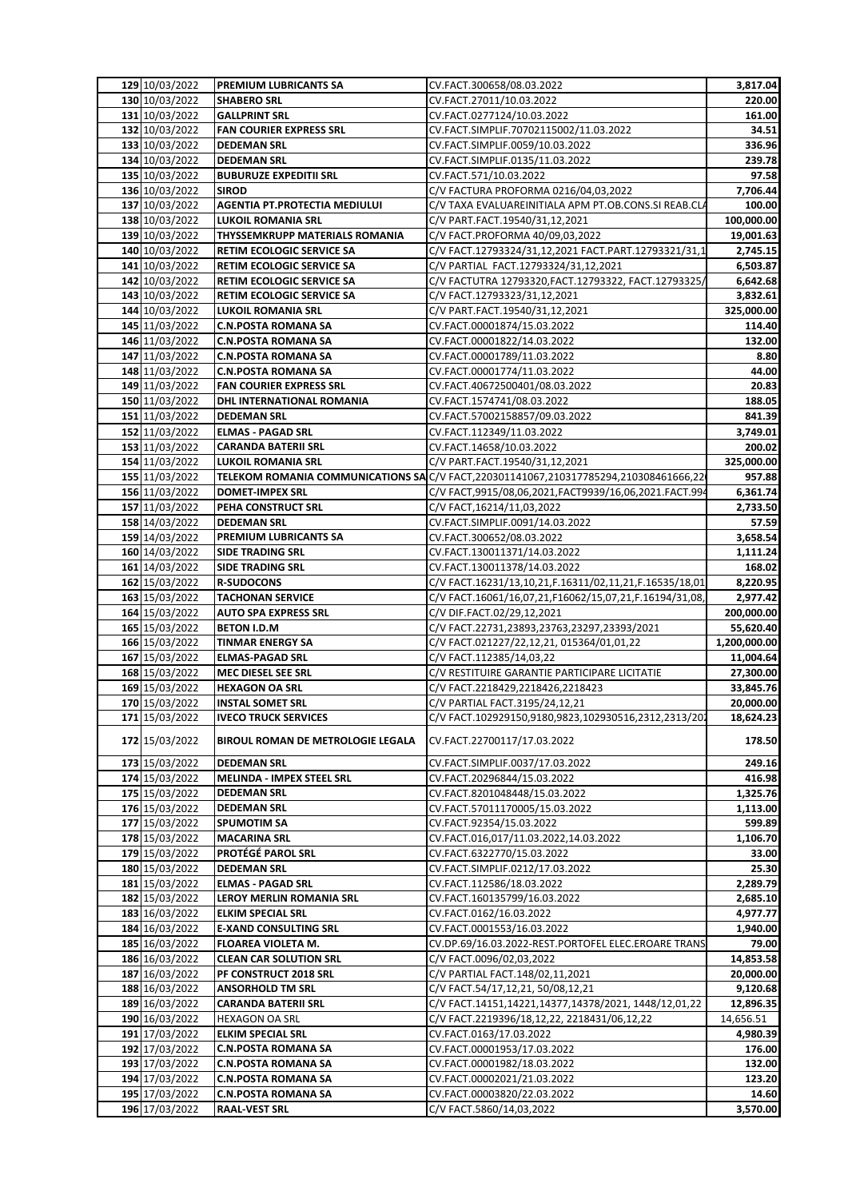| 129 10/03/2022                   | <b>PREMIUM LUBRICANTS SA</b>                                     | CV.FACT.300658/08.03.2022                                                                | 3,817.04            |
|----------------------------------|------------------------------------------------------------------|------------------------------------------------------------------------------------------|---------------------|
| 130 10/03/2022                   | <b>SHABERO SRL</b>                                               | CV.FACT.27011/10.03.2022                                                                 | 220.00              |
| 131 10/03/2022                   | <b>GALLPRINT SRL</b>                                             | CV.FACT.0277124/10.03.2022                                                               | 161.00              |
| 132 10/03/2022                   | <b>FAN COURIER EXPRESS SRL</b>                                   | CV.FACT.SIMPLIF.70702115002/11.03.2022                                                   | 34.51               |
| 133 10/03/2022                   | <b>DEDEMAN SRL</b>                                               | CV.FACT.SIMPLIF.0059/10.03.2022                                                          | 336.96              |
| 134 10/03/2022                   | <b>DEDEMAN SRL</b>                                               | CV.FACT.SIMPLIF.0135/11.03.2022                                                          | 239.78              |
| 135 10/03/2022                   | <b>BUBURUZE EXPEDITII SRL</b>                                    | CV.FACT.571/10.03.2022                                                                   | 97.58               |
| 136 10/03/2022                   | <b>SIROD</b>                                                     | C/V FACTURA PROFORMA 0216/04,03,2022                                                     | 7,706.44            |
| 137 10/03/2022                   | <b>AGENTIA PT.PROTECTIA MEDIULUI</b>                             | C/V TAXA EVALUAREINITIALA APM PT.OB.CONS.SI REAB.CLA                                     | 100.00              |
| 138 10/03/2022                   | LUKOIL ROMANIA SRL                                               | C/V PART.FACT.19540/31,12,2021                                                           | 100,000.00          |
| 139 10/03/2022                   | THYSSEMKRUPP MATERIALS ROMANIA                                   | C/V FACT.PROFORMA 40/09,03,2022                                                          | 19,001.63           |
| 140 10/03/2022                   | RETIM ECOLOGIC SERVICE SA                                        | C/V FACT.12793324/31,12,2021 FACT.PART.12793321/31,1                                     | 2,745.15            |
| 141 10/03/2022                   | RETIM ECOLOGIC SERVICE SA                                        | C/V PARTIAL FACT.12793324/31,12,2021                                                     | 6,503.87            |
| 142 10/03/2022                   | RETIM ECOLOGIC SERVICE SA                                        | C/V FACTUTRA 12793320, FACT. 12793322, FACT. 12793325/                                   | 6,642.68            |
| 143 10/03/2022                   | RETIM ECOLOGIC SERVICE SA                                        | C/V FACT.12793323/31,12,2021                                                             | 3,832.61            |
| 144 10/03/2022                   | <b>LUKOIL ROMANIA SRL</b>                                        | C/V PART.FACT.19540/31,12,2021                                                           | 325,000.00          |
| 145 11/03/2022                   | <b>C.N.POSTA ROMANA SA</b>                                       | CV.FACT.00001874/15.03.2022                                                              | 114.40              |
| 146 11/03/2022                   | <b>C.N.POSTA ROMANA SA</b>                                       | CV.FACT.00001822/14.03.2022                                                              | 132.00              |
| 147 11/03/2022                   | <b>C.N.POSTA ROMANA SA</b>                                       | CV.FACT.00001789/11.03.2022                                                              | 8.80                |
| 148 11/03/2022                   | <b>C.N.POSTA ROMANA SA</b>                                       | CV.FACT.00001774/11.03.2022                                                              | 44.00               |
| 149 11/03/2022                   | <b>FAN COURIER EXPRESS SRL</b>                                   | CV.FACT.40672500401/08.03.2022                                                           | 20.83               |
| 150 11/03/2022                   | DHL INTERNATIONAL ROMANIA                                        | CV.FACT.1574741/08.03.2022                                                               | 188.05              |
| 151 11/03/2022                   | <b>DEDEMAN SRL</b>                                               | CV.FACT.57002158857/09.03.2022                                                           | 841.39              |
| 152 11/03/2022                   | <b>ELMAS - PAGAD SRL</b>                                         | CV.FACT.112349/11.03.2022                                                                | 3,749.01            |
| 153 11/03/2022                   | <b>CARANDA BATERII SRL</b>                                       | CV.FACT.14658/10.03.2022                                                                 | 200.02              |
| 154 11/03/2022                   | <b>LUKOIL ROMANIA SRL</b>                                        | C/V PART.FACT.19540/31,12,2021                                                           | 325,000.00          |
| 155 11/03/2022                   |                                                                  | TELEKOM ROMANIA COMMUNICATIONS SA C/V FACT, 220301141067, 210317785294, 210308461666, 22 | 957.88              |
| 156 11/03/2022                   | <b>DOMET-IMPEX SRL</b>                                           | C/V FACT,9915/08,06,2021,FACT9939/16,06,2021.FACT.994                                    | 6,361.74            |
| 157 11/03/2022                   | PEHA CONSTRUCT SRL                                               | C/V FACT, 16214/11, 03, 2022                                                             | 2,733.50            |
| 158 14/03/2022                   | <b>DEDEMAN SRL</b>                                               | CV.FACT.SIMPLIF.0091/14.03.2022                                                          | 57.59               |
| 159 14/03/2022                   | PREMIUM LUBRICANTS SA                                            | CV.FACT.300652/08.03.2022                                                                | 3,658.54            |
| 160 14/03/2022                   | <b>SIDE TRADING SRL</b>                                          | CV.FACT.130011371/14.03.2022                                                             | 1,111.24            |
| 161 14/03/2022                   | <b>SIDE TRADING SRL</b>                                          | CV.FACT.130011378/14.03.2022                                                             | 168.02              |
| 162 15/03/2022                   | <b>R-SUDOCONS</b>                                                | C/V FACT.16231/13,10,21,F.16311/02,11,21,F.16535/18,01                                   | 8,220.95            |
| 163 15/03/2022                   | <b>TACHONAN SERVICE</b>                                          | C/V FACT.16061/16,07,21,F16062/15,07,21,F.16194/31,08,                                   | 2,977.42            |
| 164 15/03/2022                   | <b>AUTO SPA EXPRESS SRL</b>                                      | C/V DIF.FACT.02/29,12,2021                                                               | 200,000.00          |
|                                  |                                                                  |                                                                                          |                     |
| 165 15/03/2022                   | <b>BETON I.D.M</b>                                               | C/V FACT.22731,23893,23763,23297,23393/2021                                              | 55,620.40           |
| 166 15/03/2022                   | <b>TINMAR ENERGY SA</b>                                          | C/V FACT.021227/22,12,21, 015364/01,01,22                                                | 1,200,000.00        |
| 167 15/03/2022                   | <b>ELMAS-PAGAD SRL</b>                                           | C/V FACT.112385/14,03,22                                                                 | 11,004.64           |
| 168 15/03/2022                   | <b>MEC DIESEL SEE SRL</b>                                        | C/V RESTITUIRE GARANTIE PARTICIPARE LICITATIE                                            | 27,300.00           |
| 169 15/03/2022                   | <b>HEXAGON OA SRL</b>                                            | C/V FACT.2218429,2218426,2218423                                                         | 33,845.76           |
| 170 15/03/2022                   | <b>INSTAL SOMET SRL</b>                                          | C/V PARTIAL FACT.3195/24,12,21                                                           | 20,000.00           |
| 171 15/03/2022<br>172 15/03/2022 | <b>IVECO TRUCK SERVICES</b><br>BIROUL ROMAN DE METROLOGIE LEGALA | C/V FACT.102929150,9180,9823,102930516,2312,2313/202<br>CV.FACT.22700117/17.03.2022      | 18,624.23<br>178.50 |
|                                  |                                                                  |                                                                                          |                     |
| 173 15/03/2022                   | <b>DEDEMAN SRL</b>                                               | CV.FACT.SIMPLIF.0037/17.03.2022                                                          | 249.16              |
| 174 15/03/2022                   | <b>MELINDA - IMPEX STEEL SRL</b>                                 | CV.FACT.20296844/15.03.2022                                                              | 416.98              |
| 175 15/03/2022                   | <b>DEDEMAN SRL</b>                                               | CV.FACT.8201048448/15.03.2022                                                            | 1,325.76            |
| 176 15/03/2022                   | <b>DEDEMAN SRL</b>                                               | CV.FACT.57011170005/15.03.2022                                                           | 1,113.00            |
| 177 15/03/2022                   | <b>SPUMOTIM SA</b>                                               | CV.FACT.92354/15.03.2022                                                                 | 599.89              |
| 178 15/03/2022                   | <b>MACARINA SRL</b>                                              | CV.FACT.016,017/11.03.2022,14.03.2022                                                    | 1,106.70            |
| 179 15/03/2022                   | <b>PROTÉGÉ PAROL SRL</b>                                         | CV.FACT.6322770/15.03.2022                                                               | 33.00               |
| 180 15/03/2022                   | <b>DEDEMAN SRL</b>                                               | CV.FACT.SIMPLIF.0212/17.03.2022                                                          | 25.30               |
| 181 15/03/2022                   | <b>ELMAS - PAGAD SRL</b>                                         | CV.FACT.112586/18.03.2022                                                                | 2,289.79            |
| 182 15/03/2022                   | LEROY MERLIN ROMANIA SRL                                         | CV.FACT.160135799/16.03.2022                                                             | 2,685.10            |
| 183 16/03/2022                   | <b>ELKIM SPECIAL SRL</b>                                         | CV.FACT.0162/16.03.2022                                                                  | 4,977.77            |
| 184 16/03/2022                   | <b>E-XAND CONSULTING SRL</b>                                     | CV.FACT.0001553/16.03.2022                                                               | 1,940.00            |
| 185 16/03/2022                   | FLOAREA VIOLETA M.                                               | CV.DP.69/16.03.2022-REST.PORTOFEL ELEC.EROARE TRANS                                      | 79.00               |
| 186 16/03/2022                   | <b>CLEAN CAR SOLUTION SRL</b>                                    | C/V FACT.0096/02,03,2022                                                                 | 14,853.58           |
| 187 16/03/2022                   | PF CONSTRUCT 2018 SRL                                            | C/V PARTIAL FACT.148/02,11,2021                                                          | 20,000.00           |
| 188 16/03/2022                   | <b>ANSORHOLD TM SRL</b>                                          | C/V FACT.54/17,12,21, 50/08,12,21                                                        | 9,120.68            |
| 189 16/03/2022                   | <b>CARANDA BATERII SRL</b>                                       | C/V FACT.14151,14221,14377,14378/2021, 1448/12,01,22                                     | 12,896.35           |
| 190 16/03/2022                   | HEXAGON OA SRL                                                   | C/V FACT.2219396/18,12,22, 2218431/06,12,22                                              | 14,656.51           |
| 191 17/03/2022                   | <b>ELKIM SPECIAL SRL</b>                                         | CV.FACT.0163/17.03.2022                                                                  | 4,980.39            |
| 192 17/03/2022                   | <b>C.N.POSTA ROMANA SA</b>                                       | CV.FACT.00001953/17.03.2022                                                              | 176.00              |
| 193 17/03/2022                   | <b>C.N.POSTA ROMANA SA</b>                                       | CV.FACT.00001982/18.03.2022                                                              | 132.00              |
| 194 17/03/2022                   | <b>C.N.POSTA ROMANA SA</b>                                       | CV.FACT.00002021/21.03.2022                                                              | 123.20              |
| 195 17/03/2022<br>196 17/03/2022 | <b>C.N.POSTA ROMANA SA</b><br><b>RAAL-VEST SRL</b>               | CV.FACT.00003820/22.03.2022<br>C/V FACT.5860/14,03,2022                                  | 14.60<br>3,570.00   |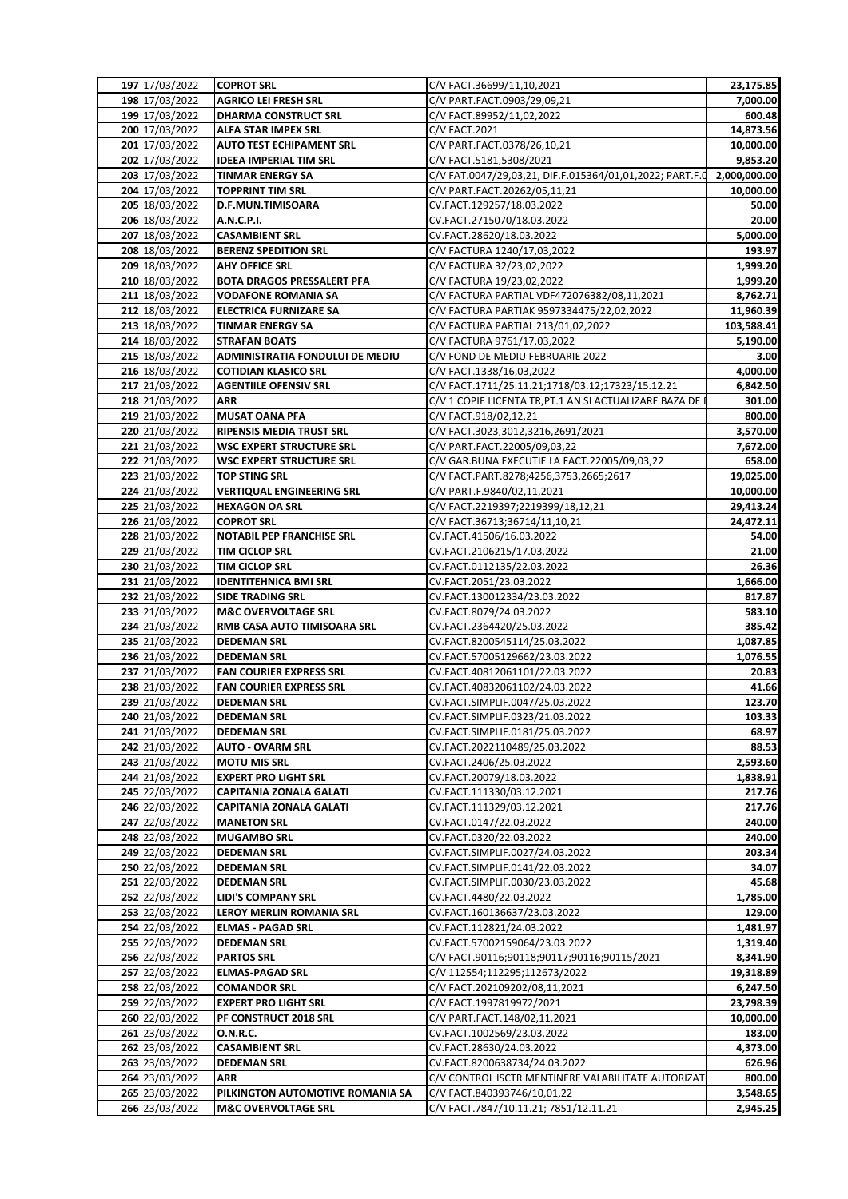| 197 17/03/2022                   | <b>COPROT SRL</b>                                  | C/V FACT.36699/11,10,2021                                                       | 23,175.85          |
|----------------------------------|----------------------------------------------------|---------------------------------------------------------------------------------|--------------------|
| 198 17/03/2022                   | <b>AGRICO LEI FRESH SRL</b>                        | C/V PART.FACT.0903/29,09,21                                                     | 7,000.00           |
| 199 17/03/2022                   | <b>DHARMA CONSTRUCT SRL</b>                        | C/V FACT.89952/11,02,2022                                                       | 600.48             |
| 200 17/03/2022                   | <b>ALFA STAR IMPEX SRL</b>                         | C/V FACT.2021                                                                   | 14,873.56          |
| 201 17/03/2022                   | <b>AUTO TEST ECHIPAMENT SRL</b>                    | C/V PART.FACT.0378/26,10,21                                                     | 10,000.00          |
| 202 17/03/2022                   | <b>IDEEA IMPERIAL TIM SRL</b>                      | C/V FACT.5181,5308/2021                                                         | 9,853.20           |
| 203 17/03/2022                   | <b>TINMAR ENERGY SA</b>                            | C/V FAT.0047/29,03,21, DIF.F.015364/01,01,2022; PART.F.0                        | 2,000,000.00       |
| 204 17/03/2022                   | <b>TOPPRINT TIM SRL</b>                            | C/V PART.FACT.20262/05,11,21                                                    | 10,000.00          |
| 205 18/03/2022                   | D.F.MUN.TIMISOARA                                  | CV.FACT.129257/18.03.2022                                                       | 50.00              |
| 206 18/03/2022                   | A.N.C.P.I.                                         | CV.FACT.2715070/18.03.2022                                                      | 20.00              |
| 207 18/03/2022                   | <b>CASAMBIENT SRL</b>                              | CV.FACT.28620/18.03.2022                                                        | 5,000.00           |
| 208 18/03/2022                   | <b>BERENZ SPEDITION SRL</b>                        | C/V FACTURA 1240/17,03,2022                                                     | 193.97             |
| 209 18/03/2022                   | <b>AHY OFFICE SRL</b>                              | C/V FACTURA 32/23,02,2022                                                       | 1,999.20           |
| 210 18/03/2022                   | <b>BOTA DRAGOS PRESSALERT PFA</b>                  | C/V FACTURA 19/23,02,2022                                                       | 1,999.20           |
| 211 18/03/2022                   | <b>VODAFONE ROMANIA SA</b>                         | C/V FACTURA PARTIAL VDF472076382/08,11,2021                                     | 8,762.71           |
| 212 18/03/2022                   | <b>ELECTRICA FURNIZARE SA</b>                      | C/V FACTURA PARTIAK 9597334475/22,02,2022<br>C/V FACTURA PARTIAL 213/01,02,2022 | 11,960.39          |
| 213 18/03/2022                   | <b>TINMAR ENERGY SA</b><br><b>STRAFAN BOATS</b>    |                                                                                 | 103,588.41         |
| 214 18/03/2022<br>215 18/03/2022 | ADMINISTRATIA FONDULUI DE MEDIU                    | C/V FACTURA 9761/17,03,2022<br>C/V FOND DE MEDIU FEBRUARIE 2022                 | 5,190.00<br>3.00   |
| 216 18/03/2022                   | <b>COTIDIAN KLASICO SRL</b>                        | C/V FACT.1338/16,03,2022                                                        | 4,000.00           |
| 217 21/03/2022                   | <b>AGENTIILE OFENSIV SRL</b>                       | C/V FACT.1711/25.11.21;1718/03.12;17323/15.12.21                                | 6,842.50           |
| 218 21/03/2022                   | <b>ARR</b>                                         | C/V 1 COPIE LICENTA TR, PT.1 AN SI ACTUALIZARE BAZA DE I                        | 301.00             |
| 219 21/03/2022                   | <b>MUSAT OANA PFA</b>                              | C/V FACT.918/02,12,21                                                           | 800.00             |
| 220 21/03/2022                   | <b>RIPENSIS MEDIA TRUST SRL</b>                    | C/V FACT.3023,3012,3216,2691/2021                                               | 3,570.00           |
| 221 21/03/2022                   | <b>WSC EXPERT STRUCTURE SRL</b>                    | C/V PART.FACT.22005/09,03,22                                                    | 7,672.00           |
| 222 21/03/2022                   | <b>WSC EXPERT STRUCTURE SRL</b>                    | C/V GAR.BUNA EXECUTIE LA FACT.22005/09,03,22                                    | 658.00             |
| 223 21/03/2022                   | <b>TOP STING SRL</b>                               | C/V FACT.PART.8278;4256,3753,2665;2617                                          | 19,025.00          |
| 224 21/03/2022                   | <b>VERTIQUAL ENGINEERING SRL</b>                   | C/V PART.F.9840/02,11,2021                                                      | 10,000.00          |
| 225 21/03/2022                   | <b>HEXAGON OA SRL</b>                              | C/V FACT.2219397;2219399/18,12,21                                               | 29,413.24          |
| 226 21/03/2022                   | <b>COPROT SRL</b><br>C/V FACT.36713;36714/11,10,21 |                                                                                 | 24,472.11          |
| 228 21/03/2022                   | <b>NOTABIL PEP FRANCHISE SRL</b>                   | CV.FACT.41506/16.03.2022                                                        | 54.00              |
| 229 21/03/2022                   | TIM CICLOP SRL                                     | CV.FACT.2106215/17.03.2022                                                      | 21.00              |
| 230 21/03/2022                   | TIM CICLOP SRL                                     | CV.FACT.0112135/22.03.2022                                                      | 26.36              |
| 231 21/03/2022                   | <b>IDENTITEHNICA BMI SRL</b>                       | CV.FACT.2051/23.03.2022                                                         | 1,666.00           |
| 232 21/03/2022                   | <b>SIDE TRADING SRL</b>                            | CV.FACT.130012334/23.03.2022                                                    | 817.87             |
| 233 21/03/2022                   | <b>M&amp;C OVERVOLTAGE SRL</b>                     | CV.FACT.8079/24.03.2022                                                         | 583.10             |
| 234 21/03/2022                   | RMB CASA AUTO TIMISOARA SRL                        | CV.FACT.2364420/25.03.2022                                                      | 385.42             |
| 235 21/03/2022                   | <b>DEDEMAN SRL</b>                                 | CV.FACT.8200545114/25.03.2022                                                   | 1,087.85           |
| 236 21/03/2022                   | <b>DEDEMAN SRL</b>                                 | CV.FACT.57005129662/23.03.2022                                                  | 1,076.55           |
| 237 21/03/2022                   | <b>FAN COURIER EXPRESS SRL</b>                     | CV.FACT.40812061101/22.03.2022                                                  | 20.83              |
| 238 21/03/2022                   | <b>FAN COURIER EXPRESS SRL</b>                     | CV.FACT.40832061102/24.03.2022                                                  | 41.66              |
| 239 21/03/2022                   | <b>DEDEMAN SRL</b>                                 | CV.FACT.SIMPLIF.0047/25.03.2022                                                 | 123.70             |
| 240 21/03/2022                   | <b>DEDEMAN SRL</b>                                 | CV.FACT.SIMPLIF.0323/21.03.2022                                                 | 103.33             |
| 241 21/03/2022                   | <b>DEDEMAN SRL</b>                                 | CV.FACT.SIMPLIF.0181/25.03.2022                                                 | 68.97              |
| 242 21/03/2022                   | <b>AUTO - OVARM SRL</b>                            | CV.FACT.2022110489/25.03.2022                                                   | 88.53              |
| 243 21/03/2022                   | <b>MOTU MIS SRL</b>                                | CV.FACT.2406/25.03.2022                                                         | 2,593.60           |
| 244 21/03/2022                   | <b>EXPERT PRO LIGHT SRL</b>                        | CV.FACT.20079/18.03.2022                                                        | 1,838.91           |
| 245 22/03/2022                   | <b>CAPITANIA ZONALA GALATI</b>                     | CV.FACT.111330/03.12.2021                                                       | 217.76             |
| 246 22/03/2022                   | <b>CAPITANIA ZONALA GALATI</b>                     | CV.FACT.111329/03.12.2021                                                       | 217.76             |
| 247 22/03/2022                   | <b>MANETON SRL</b>                                 | CV.FACT.0147/22.03.2022                                                         | 240.00             |
| 248 22/03/2022                   | <b>MUGAMBO SRL</b>                                 | CV.FACT.0320/22.03.2022                                                         | 240.00             |
| 249 22/03/2022                   | <b>DEDEMAN SRL</b>                                 | CV.FACT.SIMPLIF.0027/24.03.2022                                                 | 203.34             |
| 250 22/03/2022                   | <b>DEDEMAN SRL</b>                                 | CV.FACT.SIMPLIF.0141/22.03.2022                                                 | 34.07              |
| 251 22/03/2022                   | <b>DEDEMAN SRL</b>                                 | CV.FACT.SIMPLIF.0030/23.03.2022                                                 | 45.68              |
| 252 22/03/2022                   | LIDI'S COMPANY SRL                                 | CV.FACT.4480/22.03.2022                                                         | 1,785.00           |
| 253 22/03/2022                   | LEROY MERLIN ROMANIA SRL                           | CV.FACT.160136637/23.03.2022                                                    | 129.00<br>1,481.97 |
| 254 22/03/2022<br>255 22/03/2022 | <b>ELMAS - PAGAD SRL</b><br><b>DEDEMAN SRL</b>     | CV.FACT.112821/24.03.2022<br>CV.FACT.57002159064/23.03.2022                     | 1,319.40           |
| 256 22/03/2022                   | <b>PARTOS SRL</b>                                  | C/V FACT.90116;90118;90117;90116;90115/2021                                     | 8,341.90           |
| 257 22/03/2022                   | <b>ELMAS-PAGAD SRL</b>                             | C/V 112554;112295;112673/2022                                                   | 19,318.89          |
| 258 22/03/2022                   | <b>COMANDOR SRL</b>                                | C/V FACT.202109202/08,11,2021                                                   | 6,247.50           |
| 259 22/03/2022                   | <b>EXPERT PRO LIGHT SRL</b>                        | C/V FACT.1997819972/2021                                                        | 23,798.39          |
| 260 22/03/2022                   | PF CONSTRUCT 2018 SRL                              | C/V PART.FACT.148/02,11,2021                                                    | 10,000.00          |
| 261 23/03/2022                   | <b>O.N.R.C.</b>                                    | CV.FACT.1002569/23.03.2022                                                      | 183.00             |
| 262 23/03/2022                   | <b>CASAMBIENT SRL</b>                              | CV.FACT.28630/24.03.2022                                                        | 4,373.00           |
| 263 23/03/2022                   | <b>DEDEMAN SRL</b>                                 | CV.FACT.8200638734/24.03.2022                                                   | 626.96             |
| 264 23/03/2022                   | ARR                                                | C/V CONTROL ISCTR MENTINERE VALABILITATE AUTORIZAT                              | 800.00             |
| 265 23/03/2022                   | PILKINGTON AUTOMOTIVE ROMANIA SA                   | C/V FACT.840393746/10,01,22                                                     | 3,548.65           |
| 266 23/03/2022                   | <b>M&amp;C OVERVOLTAGE SRL</b>                     | C/V FACT.7847/10.11.21; 7851/12.11.21                                           | 2,945.25           |
|                                  |                                                    |                                                                                 |                    |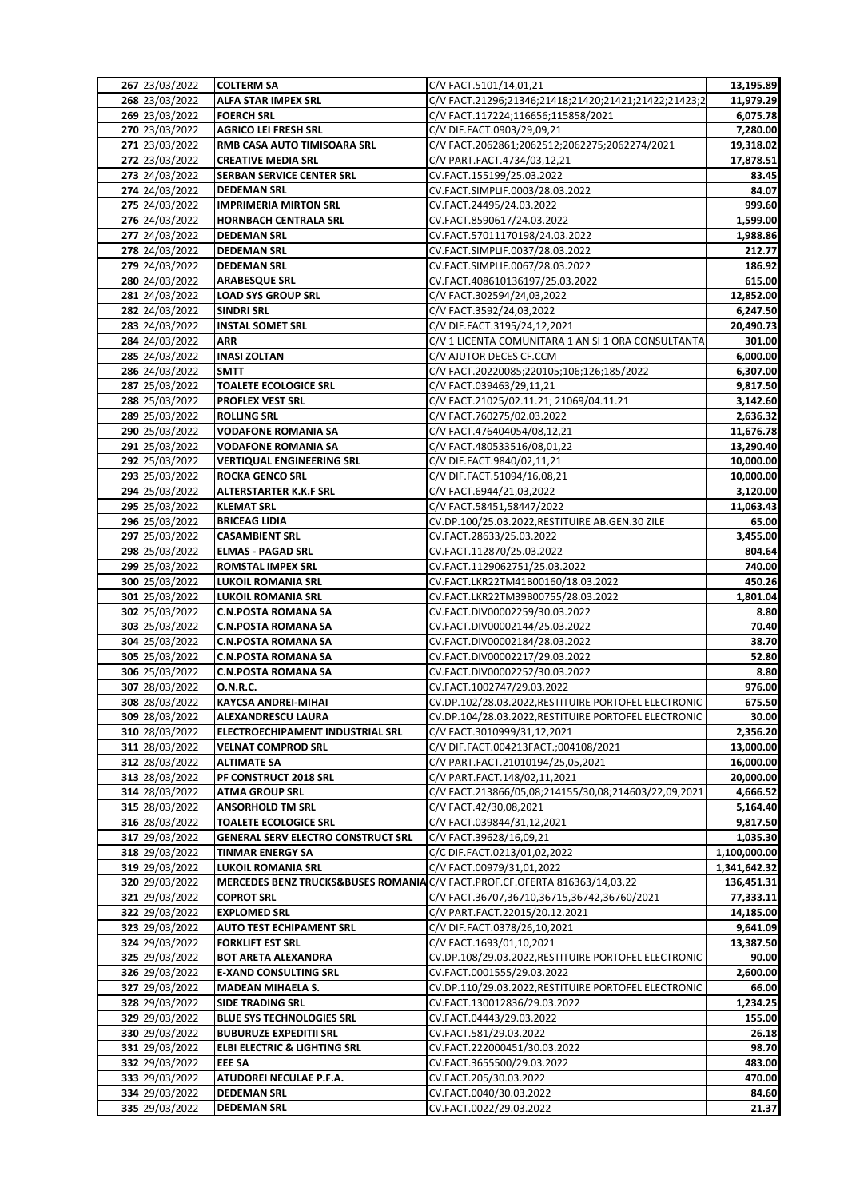| 267 23/03/2022                   | <b>COLTERM SA</b>                                | C/V FACT.5101/14,01,21                                                       | 13,195.89            |
|----------------------------------|--------------------------------------------------|------------------------------------------------------------------------------|----------------------|
| 268 23/03/2022                   | ALFA STAR IMPEX SRL                              | C/V FACT.21296;21346;21418;21420;21421;21422;21423;2                         | 11,979.29            |
| 269 23/03/2022                   | <b>FOERCH SRL</b>                                | C/V FACT.117224;116656;115858/2021                                           | 6,075.78             |
| 270 23/03/2022                   | <b>AGRICO LEI FRESH SRL</b>                      | C/V DIF.FACT.0903/29,09,21                                                   | 7,280.00             |
| 271 23/03/2022                   | RMB CASA AUTO TIMISOARA SRL                      | C/V FACT.2062861;2062512;2062275;2062274/2021                                | 19,318.02            |
| 272 23/03/2022                   | <b>CREATIVE MEDIA SRL</b>                        | C/V PART.FACT.4734/03,12,21                                                  | 17,878.51            |
| 273 24/03/2022                   | SERBAN SERVICE CENTER SRL                        | CV.FACT.155199/25.03.2022                                                    | 83.45                |
| 274 24/03/2022                   | <b>DEDEMAN SRL</b>                               | CV.FACT.SIMPLIF.0003/28.03.2022                                              | 84.07                |
| 275 24/03/2022                   | <b>IMPRIMERIA MIRTON SRL</b>                     | CV.FACT.24495/24.03.2022                                                     | 999.60               |
| 276 24/03/2022                   | <b>HORNBACH CENTRALA SRL</b>                     | CV.FACT.8590617/24.03.2022                                                   | 1,599.00             |
| 277 24/03/2022                   | <b>DEDEMAN SRL</b>                               | CV.FACT.57011170198/24.03.2022                                               | 1,988.86             |
| 278 24/03/2022                   | <b>DEDEMAN SRL</b>                               | CV.FACT.SIMPLIF.0037/28.03.2022                                              | 212.77               |
| 279 24/03/2022                   | <b>DEDEMAN SRL</b>                               | CV.FACT.SIMPLIF.0067/28.03.2022                                              | 186.92               |
| 280 24/03/2022                   | <b>ARABESQUE SRL</b>                             | CV.FACT.408610136197/25.03.2022                                              | 615.00               |
| 281 24/03/2022                   | <b>LOAD SYS GROUP SRL</b>                        | C/V FACT.302594/24,03,2022                                                   | 12,852.00            |
| 282 24/03/2022                   | <b>SINDRI SRL</b>                                | C/V FACT.3592/24,03,2022                                                     | 6,247.50             |
| 283 24/03/2022                   | <b>INSTAL SOMET SRL</b>                          | C/V DIF.FACT.3195/24,12,2021                                                 | 20,490.73            |
| 284 24/03/2022                   | ARR                                              | C/V 1 LICENTA COMUNITARA 1 AN SI 1 ORA CONSULTANTA                           | 301.00               |
| 285 24/03/2022                   | <b>INASI ZOLTAN</b>                              | C/V AJUTOR DECES CF.CCM                                                      | 6,000.00             |
| 286 24/03/2022                   | <b>SMTT</b>                                      | C/V FACT.20220085;220105;106;126;185/2022<br>C/V FACT.039463/29,11,21        | 6,307.00             |
| 287 25/03/2022                   | <b>TOALETE ECOLOGICE SRL</b><br>PROFLEX VEST SRL | C/V FACT.21025/02.11.21; 21069/04.11.21                                      | 9,817.50             |
| 288 25/03/2022<br>289 25/03/2022 | <b>ROLLING SRL</b>                               | C/V FACT.760275/02.03.2022                                                   | 3,142.60<br>2,636.32 |
| 290 25/03/2022                   | <b>VODAFONE ROMANIA SA</b>                       | C/V FACT.476404054/08,12,21                                                  | 11,676.78            |
| 291 25/03/2022                   | <b>VODAFONE ROMANIA SA</b>                       | C/V FACT.480533516/08,01,22                                                  | 13,290.40            |
| 292 25/03/2022                   | <b>VERTIQUAL ENGINEERING SRL</b>                 | C/V DIF.FACT.9840/02,11,21                                                   | 10,000.00            |
| 293 25/03/2022                   | <b>ROCKA GENCO SRL</b>                           | C/V DIF.FACT.51094/16,08,21                                                  | 10,000.00            |
| 294 25/03/2022                   | ALTERSTARTER K.K.F SRL                           | C/V FACT.6944/21,03,2022                                                     | 3,120.00             |
| 295 25/03/2022                   | <b>KLEMAT SRL</b>                                | C/V FACT.58451,58447/2022                                                    | 11,063.43            |
| 296 25/03/2022                   | <b>BRICEAG LIDIA</b>                             | CV.DP.100/25.03.2022, RESTITUIRE AB.GEN.30 ZILE                              | 65.00                |
| 297 25/03/2022                   | <b>CASAMBIENT SRL</b>                            | CV.FACT.28633/25.03.2022                                                     | 3,455.00             |
| 298 25/03/2022                   | <b>ELMAS - PAGAD SRL</b>                         | CV.FACT.112870/25.03.2022                                                    | 804.64               |
| 299 25/03/2022                   | <b>ROMSTAL IMPEX SRL</b>                         | CV.FACT.1129062751/25.03.2022                                                | 740.00               |
| 300 25/03/2022                   | <b>LUKOIL ROMANIA SRL</b>                        | CV.FACT.LKR22TM41B00160/18.03.2022                                           | 450.26               |
| 301 25/03/2022                   | <b>LUKOIL ROMANIA SRL</b>                        | CV.FACT.LKR22TM39B00755/28.03.2022                                           | 1,801.04             |
| 302 25/03/2022                   | <b>C.N.POSTA ROMANA SA</b>                       | CV.FACT.DIV00002259/30.03.2022                                               | 8.80                 |
| 303 25/03/2022                   | <b>C.N.POSTA ROMANA SA</b>                       | CV.FACT.DIV00002144/25.03.2022                                               | 70.40                |
| 304 25/03/2022                   | <b>C.N.POSTA ROMANA SA</b>                       | CV.FACT.DIV00002184/28.03.2022                                               | 38.70                |
| 305 25/03/2022                   | <b>C.N.POSTA ROMANA SA</b>                       | CV.FACT.DIV00002217/29.03.2022                                               | 52.80                |
| 306 25/03/2022                   | <b>C.N.POSTA ROMANA SA</b>                       | CV.FACT.DIV00002252/30.03.2022                                               | 8.80                 |
| 307 28/03/2022                   | <b>O.N.R.C.</b>                                  | CV.FACT.1002747/29.03.2022                                                   | 976.00               |
| 308 28/03/2022                   | <b>KAYCSA ANDREI-MIHAI</b>                       | CV.DP.102/28.03.2022, RESTITUIRE PORTOFEL ELECTRONIC                         | 675.50               |
| 309 28/03/2022                   | <b>ALEXANDRESCU LAURA</b>                        | CV.DP.104/28.03.2022, RESTITUIRE PORTOFEL ELECTRONIC                         | 30.00                |
| 310 28/03/2022                   | <b>ELECTROECHIPAMENT INDUSTRIAL SRL</b>          | C/V FACT.3010999/31,12,2021                                                  | 2,356.20             |
| 311 28/03/2022                   | <b>VELNAT COMPROD SRL</b>                        | C/V DIF.FACT.004213FACT.;004108/2021                                         | 13,000.00            |
| 312 28/03/2022                   | <b>ALTIMATE SA</b>                               | C/V PART.FACT.21010194/25,05,2021                                            | 16,000.00            |
| 313 28/03/2022                   | PF CONSTRUCT 2018 SRL                            | C/V PART.FACT.148/02,11,2021                                                 | 20,000.00            |
| 314 28/03/2022                   | <b>ATMA GROUP SRL</b>                            | C/V FACT.213866/05,08;214155/30,08;214603/22,09,2021                         | 4,666.52             |
| 315 28/03/2022                   | <b>ANSORHOLD TM SRL</b>                          | C/V FACT.42/30,08,2021                                                       | 5,164.40             |
| 316 28/03/2022                   | <b>TOALETE ECOLOGICE SRL</b>                     | C/V FACT.039844/31,12,2021                                                   | 9,817.50             |
| 317 29/03/2022                   | <b>GENERAL SERV ELECTRO CONSTRUCT SRL</b>        | C/V FACT.39628/16,09,21                                                      | 1,035.30             |
| 318 29/03/2022                   | <b>TINMAR ENERGY SA</b>                          | C/C DIF.FACT.0213/01,02,2022                                                 | 1,100,000.00         |
| 319 29/03/2022                   | <b>LUKOIL ROMANIA SRL</b>                        | C/V FACT.00979/31,01,2022                                                    | 1,341,642.32         |
| 320 29/03/2022                   |                                                  | MERCEDES BENZ TRUCKS&BUSES ROMANIA C/V FACT. PROF.CF. OFERTA 816363/14,03,22 | 136,451.31           |
| 321 29/03/2022                   | <b>COPROT SRL</b>                                | C/V FACT.36707,36710,36715,36742,36760/2021                                  | 77,333.11            |
| 322 29/03/2022                   | <b>EXPLOMED SRL</b>                              | C/V PART.FACT.22015/20.12.2021                                               | 14,185.00            |
| 323 29/03/2022                   | <b>AUTO TEST ECHIPAMENT SRL</b>                  | C/V DIF.FACT.0378/26,10,2021                                                 | 9,641.09             |
| 324 29/03/2022                   | <b>FORKLIFT EST SRL</b>                          | C/V FACT.1693/01,10,2021                                                     | 13,387.50            |
| 325 29/03/2022                   | <b>BOT ARETA ALEXANDRA</b>                       | CV.DP.108/29.03.2022, RESTITUIRE PORTOFEL ELECTRONIC                         | 90.00                |
| 326 29/03/2022                   | <b>E-XAND CONSULTING SRL</b>                     | CV.FACT.0001555/29.03.2022                                                   | 2,600.00             |
| 327 29/03/2022                   | <b>MADEAN MIHAELA S.</b>                         | CV.DP.110/29.03.2022, RESTITUIRE PORTOFEL ELECTRONIC                         | 66.00                |
| 328 29/03/2022                   | <b>SIDE TRADING SRL</b>                          | CV.FACT.130012836/29.03.2022                                                 | 1,234.25             |
| 329 29/03/2022                   | <b>BLUE SYS TECHNOLOGIES SRL</b>                 | CV.FACT.04443/29.03.2022                                                     | 155.00               |
| 330 29/03/2022                   | <b>BUBURUZE EXPEDITII SRL</b>                    | CV.FACT.581/29.03.2022                                                       | 26.18                |
| 331 29/03/2022                   | ELBI ELECTRIC & LIGHTING SRL                     | CV.FACT.222000451/30.03.2022                                                 | 98.70                |
| 332 29/03/2022                   | <b>EEE SA</b>                                    | CV.FACT.3655500/29.03.2022                                                   | 483.00               |
| 333 29/03/2022                   | ATUDOREI NECULAE P.F.A.                          | CV.FACT.205/30.03.2022                                                       | 470.00               |
| 334 29/03/2022                   | <b>DEDEMAN SRL</b>                               | CV.FACT.0040/30.03.2022                                                      | 84.60                |
| 335 29/03/2022                   | <b>DEDEMAN SRL</b>                               | CV.FACT.0022/29.03.2022                                                      | 21.37                |